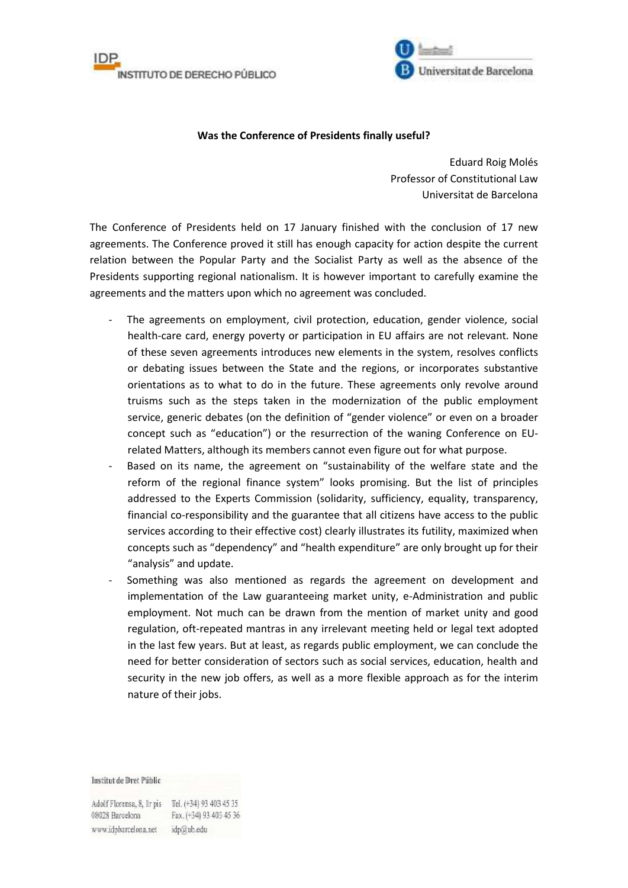



## **Was the Conference of Presidents finally useful?**

Eduard Roig Molés Professor of Constitutional Law Universitat de Barcelona

The Conference of Presidents held on 17 January finished with the conclusion of 17 new agreements. The Conference proved it still has enough capacity for action despite the current relation between the Popular Party and the Socialist Party as well as the absence of the Presidents supporting regional nationalism. It is however important to carefully examine the agreements and the matters upon which no agreement was concluded.

- The agreements on employment, civil protection, education, gender violence, social health-care card, energy poverty or participation in EU affairs are not relevant. None of these seven agreements introduces new elements in the system, resolves conflicts or debating issues between the State and the regions, or incorporates substantive orientations as to what to do in the future. These agreements only revolve around truisms such as the steps taken in the modernization of the public employment service, generic debates (on the definition of "gender violence" or even on a broader concept such as "education") or the resurrection of the waning Conference on EUrelated Matters, although its members cannot even figure out for what purpose.
- Based on its name, the agreement on "sustainability of the welfare state and the reform of the regional finance system" looks promising. But the list of principles addressed to the Experts Commission (solidarity, sufficiency, equality, transparency, financial co-responsibility and the guarantee that all citizens have access to the public services according to their effective cost) clearly illustrates its futility, maximized when concepts such as "dependency" and "health expenditure" are only brought up for their "analysis" and update.
- Something was also mentioned as regards the agreement on development and implementation of the Law guaranteeing market unity, e-Administration and public employment. Not much can be drawn from the mention of market unity and good regulation, oft-repeated mantras in any irrelevant meeting held or legal text adopted in the last few years. But at least, as regards public employment, we can conclude the need for better consideration of sectors such as social services, education, health and security in the new job offers, as well as a more flexible approach as for the interim nature of their jobs.

Institut de Dret Públic

Adolf Florensa, 8, Ir pis Tel. (+34) 93 403 45 35 Fax. (+34) 93 403 45 36 08028 Barcelona www.idpbarcelona.net idp@ub.edu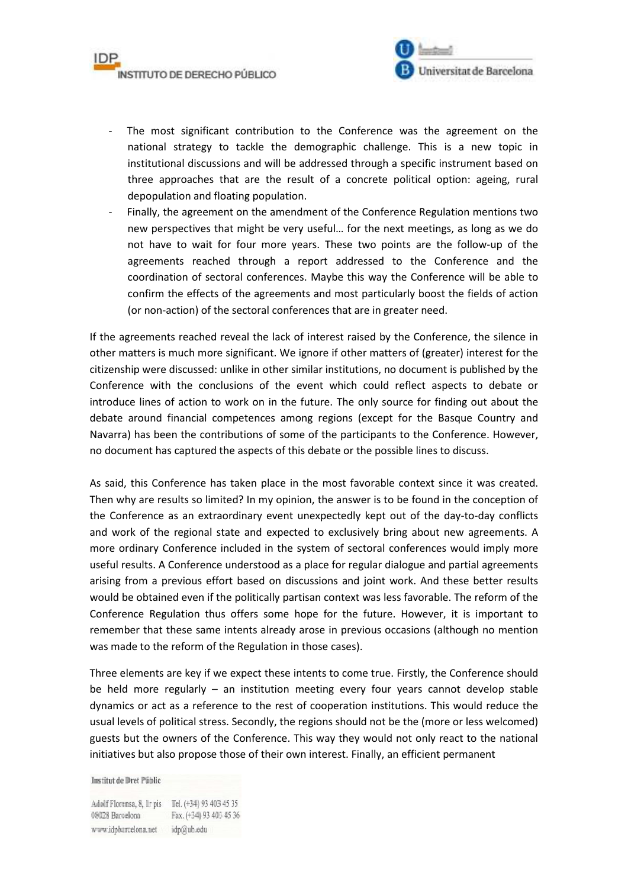

- The most significant contribution to the Conference was the agreement on the national strategy to tackle the demographic challenge. This is a new topic in institutional discussions and will be addressed through a specific instrument based on three approaches that are the result of a concrete political option: ageing, rural depopulation and floating population.
- Finally, the agreement on the amendment of the Conference Regulation mentions two new perspectives that might be very useful… for the next meetings, as long as we do not have to wait for four more years. These two points are the follow-up of the agreements reached through a report addressed to the Conference and the coordination of sectoral conferences. Maybe this way the Conference will be able to confirm the effects of the agreements and most particularly boost the fields of action (or non-action) of the sectoral conferences that are in greater need.

If the agreements reached reveal the lack of interest raised by the Conference, the silence in other matters is much more significant. We ignore if other matters of (greater) interest for the citizenship were discussed: unlike in other similar institutions, no document is published by the Conference with the conclusions of the event which could reflect aspects to debate or introduce lines of action to work on in the future. The only source for finding out about the debate around financial competences among regions (except for the Basque Country and Navarra) has been the contributions of some of the participants to the Conference. However, no document has captured the aspects of this debate or the possible lines to discuss.

As said, this Conference has taken place in the most favorable context since it was created. Then why are results so limited? In my opinion, the answer is to be found in the conception of the Conference as an extraordinary event unexpectedly kept out of the day-to-day conflicts and work of the regional state and expected to exclusively bring about new agreements. A more ordinary Conference included in the system of sectoral conferences would imply more useful results. A Conference understood as a place for regular dialogue and partial agreements arising from a previous effort based on discussions and joint work. And these better results would be obtained even if the politically partisan context was less favorable. The reform of the Conference Regulation thus offers some hope for the future. However, it is important to remember that these same intents already arose in previous occasions (although no mention was made to the reform of the Regulation in those cases).

Three elements are key if we expect these intents to come true. Firstly, the Conference should be held more regularly – an institution meeting every four years cannot develop stable dynamics or act as a reference to the rest of cooperation institutions. This would reduce the usual levels of political stress. Secondly, the regions should not be the (more or less welcomed) guests but the owners of the Conference. This way they would not only react to the national initiatives but also propose those of their own interest. Finally, an efficient permanent

Institut de Dret Públic

Adolf Florensa, 8, Ir pis Tel. (+34) 93 403 45 35 Fax. (+34) 93 403 45 36 08028 Barcelona www.idpbarcelona.net idp@ub.edu